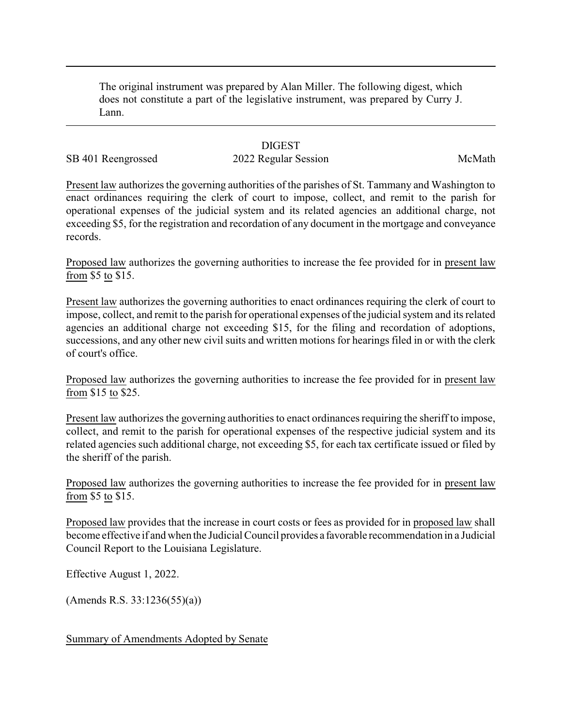The original instrument was prepared by Alan Miller. The following digest, which does not constitute a part of the legislative instrument, was prepared by Curry J. Lann.

## **DIGEST**

## SB 401 Reengrossed 2022 Regular Session McMath

Present law authorizes the governing authorities of the parishes of St. Tammany and Washington to enact ordinances requiring the clerk of court to impose, collect, and remit to the parish for operational expenses of the judicial system and its related agencies an additional charge, not exceeding \$5, for the registration and recordation of any document in the mortgage and conveyance records.

Proposed law authorizes the governing authorities to increase the fee provided for in present law from \$5 to \$15.

Present law authorizes the governing authorities to enact ordinances requiring the clerk of court to impose, collect, and remit to the parish for operational expenses of the judicial system and its related agencies an additional charge not exceeding \$15, for the filing and recordation of adoptions, successions, and any other new civil suits and written motions for hearings filed in or with the clerk of court's office.

Proposed law authorizes the governing authorities to increase the fee provided for in present law from \$15 to \$25.

Present law authorizes the governing authorities to enact ordinances requiring the sheriff to impose, collect, and remit to the parish for operational expenses of the respective judicial system and its related agencies such additional charge, not exceeding \$5, for each tax certificate issued or filed by the sheriff of the parish.

Proposed law authorizes the governing authorities to increase the fee provided for in present law from \$5 to \$15.

Proposed law provides that the increase in court costs or fees as provided for in proposed law shall become effective if and when the Judicial Council provides a favorable recommendation in a Judicial Council Report to the Louisiana Legislature.

Effective August 1, 2022.

(Amends R.S. 33:1236(55)(a))

Summary of Amendments Adopted by Senate